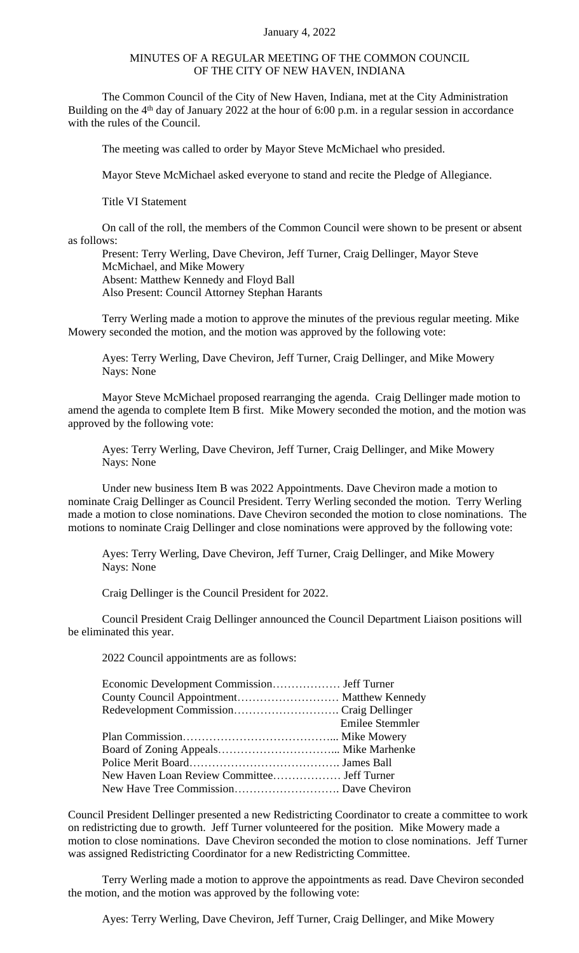## January 4, 2022

## MINUTES OF A REGULAR MEETING OF THE COMMON COUNCIL OF THE CITY OF NEW HAVEN, INDIANA

The Common Council of the City of New Haven, Indiana, met at the City Administration Building on the 4<sup>th</sup> day of January 2022 at the hour of 6:00 p.m. in a regular session in accordance with the rules of the Council.

The meeting was called to order by Mayor Steve McMichael who presided.

Mayor Steve McMichael asked everyone to stand and recite the Pledge of Allegiance.

Title VI Statement

On call of the roll, the members of the Common Council were shown to be present or absent as follows:

Present: Terry Werling, Dave Cheviron, Jeff Turner, Craig Dellinger, Mayor Steve McMichael, and Mike Mowery Absent: Matthew Kennedy and Floyd Ball Also Present: Council Attorney Stephan Harants

Terry Werling made a motion to approve the minutes of the previous regular meeting. Mike Mowery seconded the motion, and the motion was approved by the following vote:

Ayes: Terry Werling, Dave Cheviron, Jeff Turner, Craig Dellinger, and Mike Mowery Nays: None

Mayor Steve McMichael proposed rearranging the agenda. Craig Dellinger made motion to amend the agenda to complete Item B first. Mike Mowery seconded the motion, and the motion was approved by the following vote:

Ayes: Terry Werling, Dave Cheviron, Jeff Turner, Craig Dellinger, and Mike Mowery Nays: None

Under new business Item B was 2022 Appointments. Dave Cheviron made a motion to nominate Craig Dellinger as Council President. Terry Werling seconded the motion. Terry Werling made a motion to close nominations. Dave Cheviron seconded the motion to close nominations. The motions to nominate Craig Dellinger and close nominations were approved by the following vote:

Ayes: Terry Werling, Dave Cheviron, Jeff Turner, Craig Dellinger, and Mike Mowery Nays: None

Craig Dellinger is the Council President for 2022.

Council President Craig Dellinger announced the Council Department Liaison positions will be eliminated this year.

2022 Council appointments are as follows:

| County Council Appointment Matthew Kennedy |                        |
|--------------------------------------------|------------------------|
|                                            |                        |
|                                            | <b>Emilee Stemmler</b> |
|                                            |                        |
|                                            |                        |
|                                            |                        |
|                                            |                        |
|                                            |                        |

Council President Dellinger presented a new Redistricting Coordinator to create a committee to work on redistricting due to growth. Jeff Turner volunteered for the position. Mike Mowery made a motion to close nominations. Dave Cheviron seconded the motion to close nominations. Jeff Turner was assigned Redistricting Coordinator for a new Redistricting Committee.

Terry Werling made a motion to approve the appointments as read. Dave Cheviron seconded the motion, and the motion was approved by the following vote:

Ayes: Terry Werling, Dave Cheviron, Jeff Turner, Craig Dellinger, and Mike Mowery